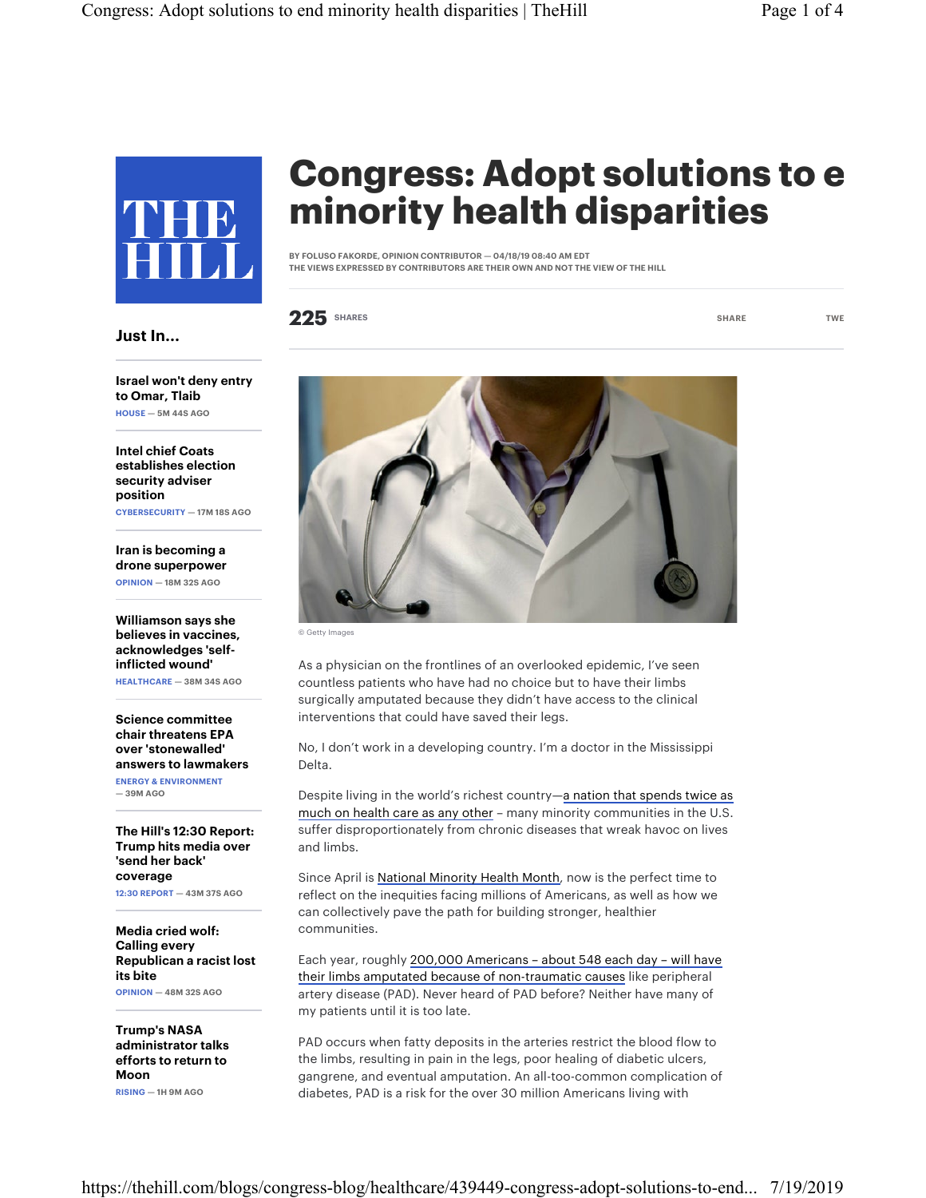

## Congress: Adopt solutions to e minority health disparities

BY FOLUSO FAKORDE, OPINION CONTRIBUTOR — 04/18/19 08:40 AM EDT THE VIEWS EXPRESSED BY CONTRIBUTORS ARE THEIR OWN AND NOT THE VIEW OF THE HILL

225 SHARES TWE SHARE TWE

Israel won't deny entry

Just In...

to Omar, Tlaib HOUSE — 5M 44S AGO

Intel chief Coats establishes election security adviser position CYBERSECURITY — 17M 18S AGO

Iran is becoming a drone superpower OPINION — 18M 32S AGO

Williamson says she believes in vaccines, acknowledges 'selfinflicted wound' HEALTHCARE — 38M 34S AGO

Science committee chair threatens EPA over 'stonewalled' answers to lawmakers ENERGY & ENVIRONMENT — 39M AGO

The Hill's 12:30 Report: Trump hits media over 'send her back' coverage

12:30 REPORT — 43M 37S AGO

Media cried wolf: Calling every Republican a racist lost its bite OPINION — 48M 32S AGO

Trump's NASA administrator talks efforts to return to Moon RISING — 1H 9M AGO



© Getty Images

As a physician on the frontlines of an overlooked epidemic, I've seen countless patients who have had no choice but to have their limbs surgically amputated because they didn't have access to the clinical interventions that could have saved their legs.

No, I don't work in a developing country. I'm a doctor in the Mississippi Delta.

Despite living in the world's richest country—a nation that spends twice as much on health care as any other - many minority communities in the U.S. suffer disproportionately from chronic diseases that wreak havoc on lives and limbs.

Since April is National Minority Health Month, now is the perfect time to reflect on the inequities facing millions of Americans, as well as how we can collectively pave the path for building stronger, healthier communities.

Each year, roughly 200,000 Americans – about 548 each day – will have their limbs amputated because of non-traumatic causes like peripheral artery disease (PAD). Never heard of PAD before? Neither have many of my patients until it is too late.

PAD occurs when fatty deposits in the arteries restrict the blood flow to the limbs, resulting in pain in the legs, poor healing of diabetic ulcers, gangrene, and eventual amputation. An all-too-common complication of diabetes, PAD is a risk for the over 30 million Americans living with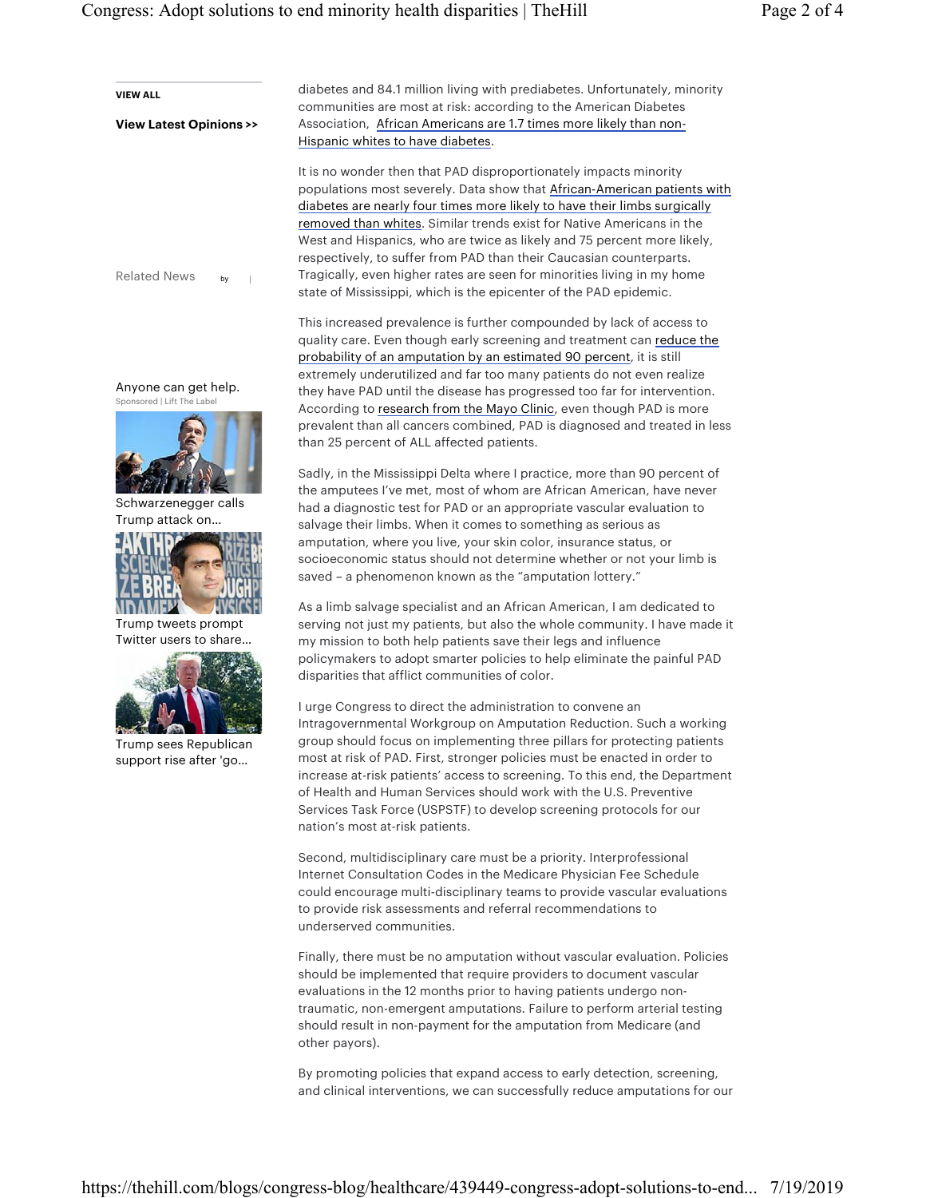| <b>VIEW ALL</b>                                    | diabetes and 84.1 million living with prediabetes. Unfortunately, minority                                                                            |
|----------------------------------------------------|-------------------------------------------------------------------------------------------------------------------------------------------------------|
| <b>View Latest Opinions &gt;&gt;</b>               | communities are most at risk: according to the American Diabetes<br>Association, African Americans are 1.7 times more likely than non-                |
|                                                    | Hispanic whites to have diabetes.                                                                                                                     |
|                                                    |                                                                                                                                                       |
|                                                    | It is no wonder then that PAD disproportionately impacts minority                                                                                     |
|                                                    | populations most severely. Data show that African-American patients with<br>diabetes are nearly four times more likely to have their limbs surgically |
|                                                    | removed than whites. Similar trends exist for Native Americans in the                                                                                 |
|                                                    | West and Hispanics, who are twice as likely and 75 percent more likely,                                                                               |
|                                                    | respectively, to suffer from PAD than their Caucasian counterparts.                                                                                   |
| <b>Related News</b><br>by                          | Tragically, even higher rates are seen for minorities living in my home                                                                               |
|                                                    | state of Mississippi, which is the epicenter of the PAD epidemic.                                                                                     |
|                                                    | This increased prevalence is further compounded by lack of access to                                                                                  |
|                                                    | quality care. Even though early screening and treatment can reduce the                                                                                |
|                                                    | probability of an amputation by an estimated 90 percent, it is still                                                                                  |
|                                                    | extremely underutilized and far too many patients do not even realize                                                                                 |
| Anyone can get help.<br>Sponsored   Lift The Label | they have PAD until the disease has progressed too far for intervention.                                                                              |
|                                                    | According to research from the Mayo Clinic, even though PAD is more                                                                                   |
|                                                    | prevalent than all cancers combined, PAD is diagnosed and treated in less<br>than 25 percent of ALL affected patients.                                |
|                                                    |                                                                                                                                                       |
|                                                    | Sadly, in the Mississippi Delta where I practice, more than 90 percent of                                                                             |
| Schwarzenegger calls                               | the amputees I've met, most of whom are African American, have never                                                                                  |
| Trump attack on                                    | had a diagnostic test for PAD or an appropriate vascular evaluation to<br>salvage their limbs. When it comes to something as serious as               |
|                                                    | amputation, where you live, your skin color, insurance status, or                                                                                     |
|                                                    | socioeconomic status should not determine whether or not your limb is                                                                                 |
|                                                    | saved - a phenomenon known as the "amputation lottery."                                                                                               |
|                                                    | As a limb salvage specialist and an African American, I am dedicated to                                                                               |
| Trump tweets prompt                                | serving not just my patients, but also the whole community. I have made it                                                                            |
| Twitter users to share                             | my mission to both help patients save their legs and influence                                                                                        |
|                                                    | policymakers to adopt smarter policies to help eliminate the painful PAD                                                                              |
|                                                    | disparities that afflict communities of color.                                                                                                        |
|                                                    | I urge Congress to direct the administration to convene an                                                                                            |
|                                                    | Intragovernmental Workgroup on Amputation Reduction. Such a working                                                                                   |
| Trump sees Republican                              | group should focus on implementing three pillars for protecting patients                                                                              |
| support rise after 'go                             | most at risk of PAD. First, stronger policies must be enacted in order to                                                                             |
|                                                    | increase at-risk patients' access to screening. To this end, the Department<br>of Health and Human Services should work with the U.S. Preventive      |
|                                                    | Services Task Force (USPSTF) to develop screening protocols for our                                                                                   |
|                                                    | nation's most at-risk patients.                                                                                                                       |
|                                                    |                                                                                                                                                       |
|                                                    | Second, multidisciplinary care must be a priority. Interprofessional<br>Internet Consultation Codes in the Medicare Physician Fee Schedule            |
|                                                    | could encourage multi-disciplinary teams to provide vascular evaluations                                                                              |
|                                                    | to provide risk assessments and referral recommendations to                                                                                           |
|                                                    | underserved communities.                                                                                                                              |
|                                                    | Finally, there must be no amputation without vascular evaluation. Policies                                                                            |
|                                                    | should be implemented that require providers to document vascular                                                                                     |
|                                                    | evaluations in the 12 months prior to having patients undergo non-                                                                                    |
|                                                    | traumatic, non-emergent amputations. Failure to perform arterial testing                                                                              |
|                                                    | should result in non-payment for the amputation from Medicare (and                                                                                    |
|                                                    | other payors).                                                                                                                                        |
|                                                    | By promoting policies that expand access to early detection, screening,                                                                               |
|                                                    | and clinical interventions, we can successfully reduce amputations for our                                                                            |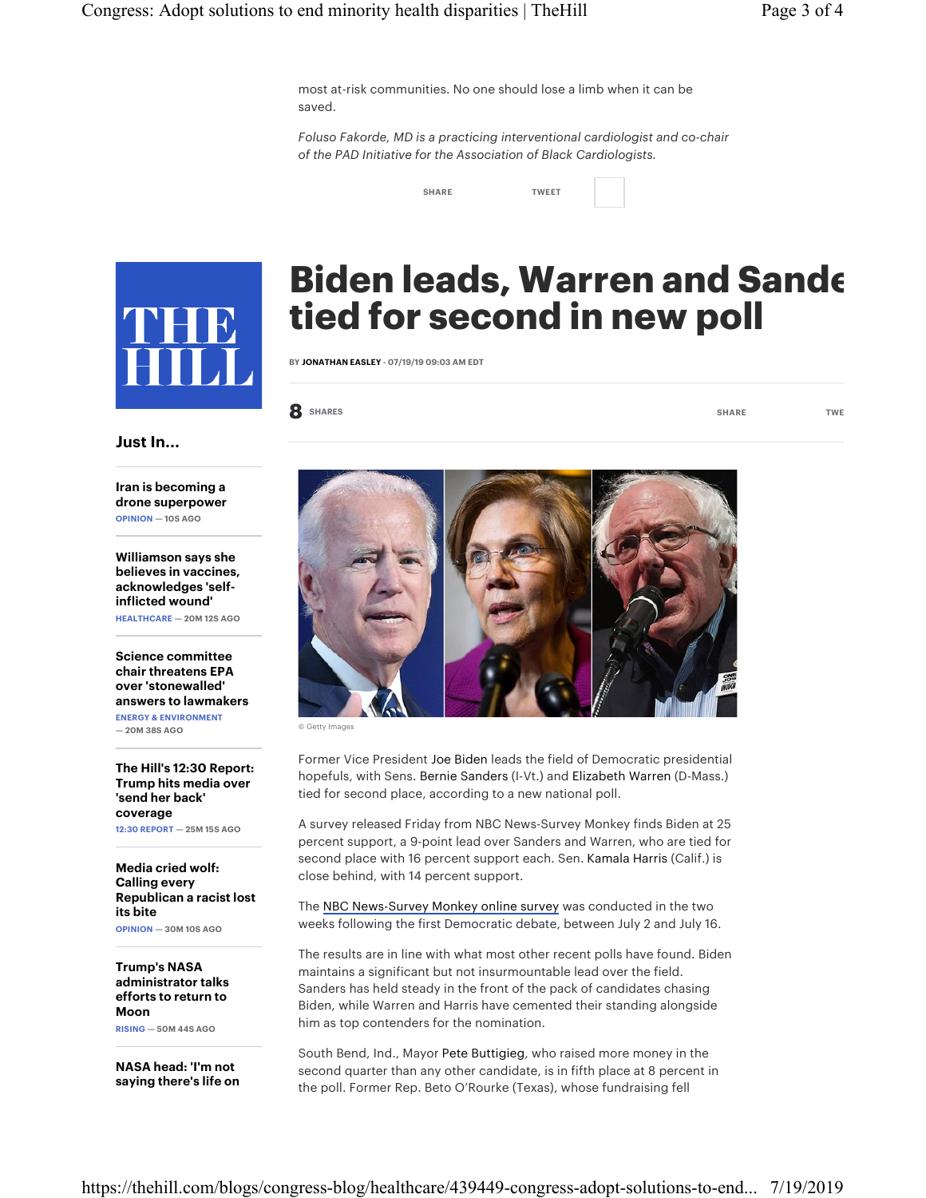most at-risk communities. No one should lose a limb when it can be saved.

*Foluso Fakorde, MD is a practicing interventional cardiologist and co-chair of the PAD Initiative for the Association of Black Cardiologists.*

SHARE TWEET



## Biden leads, Warren and Sande tied for second in new poll

BY JONATHAN EASLEY - 07/19/19 09:03 AM EDT

8 SHARES TWE

Just In...

Iran is becoming a drone superpower OPINION — 10S AGO

Williamson says she believes in vaccines, acknowledges 'selfinflicted wound' HEALTHCARE — 20M 12S AGO

Science committee chair threatens EPA over 'stonewalled' answers to lawmakers ENERGY & ENVIRONMENT

— 20M 38S AGO

The Hill's 12:30 Report: Trump hits media over 'send her back' coverage 12:30 REPORT — 25M 15S AGO

Media cried wolf: Calling every Republican a racist lost its bite OPINION — 30M 10S AGO

Trump's NASA administrator talks efforts to return to Moon

RISING — 50M 44S AGO

NASA head: 'I'm not saying there's life on



© Getty Images

Former Vice President Joe Biden leads the field of Democratic presidential hopefuls, with Sens. Bernie Sanders (I-Vt.) and Elizabeth Warren (D-Mass.) tied for second place, according to a new national poll.

A survey released Friday from NBC News-Survey Monkey finds Biden at 25 percent support, a 9-point lead over Sanders and Warren, who are tied for second place with 16 percent support each. Sen. Kamala Harris (Calif.) is close behind, with 14 percent support.

The NBC News-Survey Monkey online survey was conducted in the two weeks following the first Democratic debate, between July 2 and July 16.

The results are in line with what most other recent polls have found. Biden maintains a significant but not insurmountable lead over the field. Sanders has held steady in the front of the pack of candidates chasing Biden, while Warren and Harris have cemented their standing alongside him as top contenders for the nomination.

South Bend, Ind., Mayor Pete Buttigieg, who raised more money in the second quarter than any other candidate, is in fifth place at 8 percent in the poll. Former Rep. Beto O'Rourke (Texas), whose fundraising fell